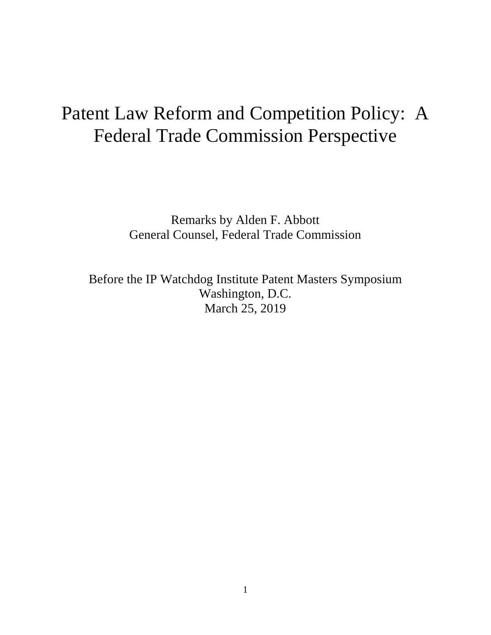# Patent Law Reform and Competition Policy: A Federal Trade Commission Perspective

Remarks by Alden F. Abbott General Counsel, Federal Trade Commission

Before the IP Watchdog Institute Patent Masters Symposium Washington, D.C. March 25, 2019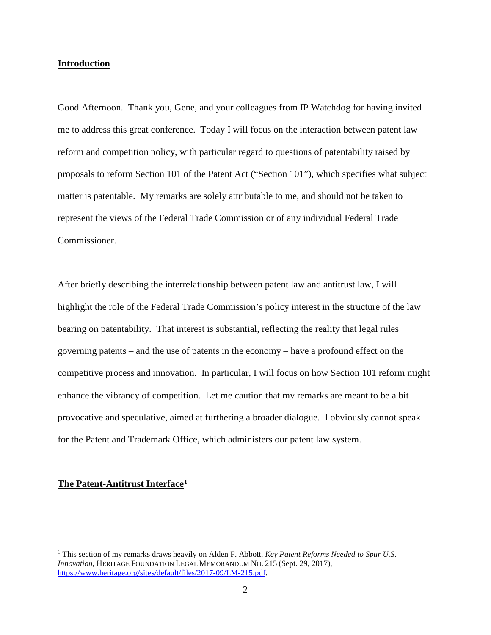# **Introduction**

Good Afternoon. Thank you, Gene, and your colleagues from IP Watchdog for having invited me to address this great conference. Today I will focus on the interaction between patent law reform and competition policy, with particular regard to questions of patentability raised by proposals to reform Section 101 of the Patent Act ("Section 101"), which specifies what subject matter is patentable. My remarks are solely attributable to me, and should not be taken to represent the views of the Federal Trade Commission or of any individual Federal Trade Commissioner.

After briefly describing the interrelationship between patent law and antitrust law, I will highlight the role of the Federal Trade Commission's policy interest in the structure of the law bearing on patentability. That interest is substantial, reflecting the reality that legal rules governing patents – and the use of patents in the economy – have a profound effect on the competitive process and innovation. In particular, I will focus on how Section 101 reform might enhance the vibrancy of competition. Let me caution that my remarks are meant to be a bit provocative and speculative, aimed at furthering a broader dialogue. I obviously cannot speak for the Patent and Trademark Office, which administers our patent law system.

## **The Patent-Antitrust Interface[1](#page-1-0)**

<span id="page-1-0"></span> <sup>1</sup> This section of my remarks draws heavily on Alden F. Abbott, *Key Patent Reforms Needed to Spur U.S. Innovation*, HERITAGE FOUNDATION LEGAL MEMORANDUM NO. 215 (Sept. 29, 2017), [https://www.heritage.org/sites/default/files/2017-09/LM-215.pdf.](https://www.heritage.org/sites/default/files/2017-09/LM-215.pdf)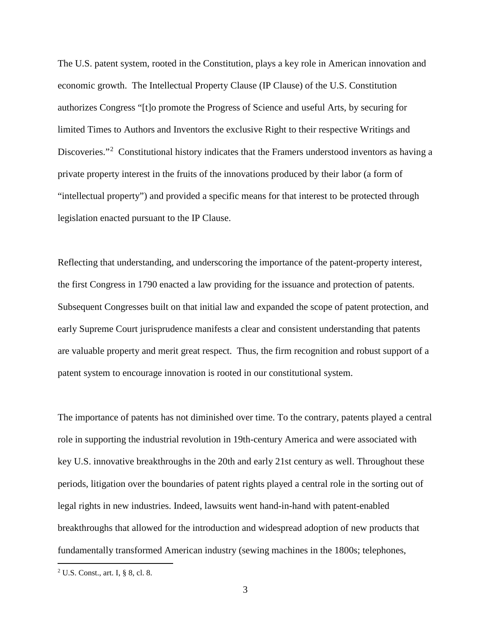The U.S. patent system, rooted in the Constitution, plays a key role in American innovation and economic growth. The Intellectual Property Clause (IP Clause) of the U.S. Constitution authorizes Congress "[t]o promote the Progress of Science and useful Arts, by securing for limited Times to Authors and Inventors the exclusive Right to their respective Writings and Discoveries."<sup>[2](#page-2-0)</sup> Constitutional history indicates that the Framers understood inventors as having a private property interest in the fruits of the innovations produced by their labor (a form of "intellectual property") and provided a specific means for that interest to be protected through legislation enacted pursuant to the IP Clause.

Reflecting that understanding, and underscoring the importance of the patent-property interest, the first Congress in 1790 enacted a law providing for the issuance and protection of patents. Subsequent Congresses built on that initial law and expanded the scope of patent protection, and early Supreme Court jurisprudence manifests a clear and consistent understanding that patents are valuable property and merit great respect. Thus, the firm recognition and robust support of a patent system to encourage innovation is rooted in our constitutional system.

The importance of patents has not diminished over time. To the contrary, patents played a central role in supporting the industrial revolution in 19th-century America and were associated with key U.S. innovative breakthroughs in the 20th and early 21st century as well. Throughout these periods, litigation over the boundaries of patent rights played a central role in the sorting out of legal rights in new industries. Indeed, lawsuits went hand-in-hand with patent-enabled breakthroughs that allowed for the introduction and widespread adoption of new products that fundamentally transformed American industry (sewing machines in the 1800s; telephones,

<span id="page-2-0"></span> <sup>2</sup> U.S. Const., art. I, § 8, cl. 8.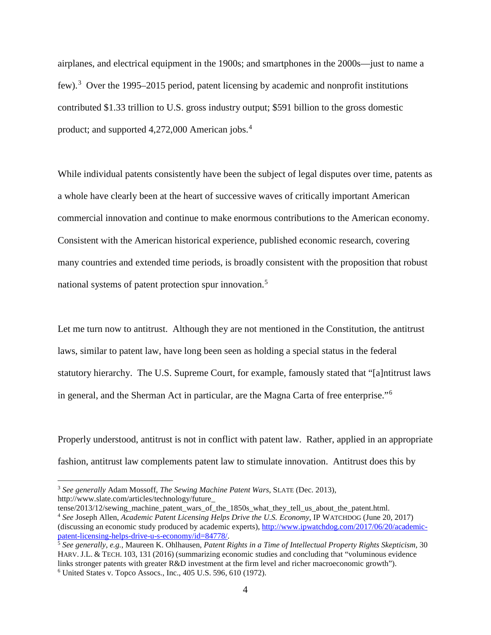airplanes, and electrical equipment in the 1900s; and smartphones in the 2000s—just to name a few).<sup>[3](#page-3-0)</sup> Over the 1995–2015 period, patent licensing by academic and nonprofit institutions contributed \$1.33 trillion to U.S. gross industry output; \$591 billion to the gross domestic product; and supported 4,272,000 American jobs. [4](#page-3-1)

While individual patents consistently have been the subject of legal disputes over time, patents as a whole have clearly been at the heart of successive waves of critically important American commercial innovation and continue to make enormous contributions to the American economy. Consistent with the American historical experience, published economic research, covering many countries and extended time periods, is broadly consistent with the proposition that robust national systems of patent protection spur innovation.[5](#page-3-2)

Let me turn now to antitrust. Although they are not mentioned in the Constitution, the antitrust laws, similar to patent law, have long been seen as holding a special status in the federal statutory hierarchy. The U.S. Supreme Court, for example, famously stated that "[a]ntitrust laws in general, and the Sherman Act in particular, are the Magna Carta of free enterprise."<sup>[6](#page-3-3)</sup>

Properly understood, antitrust is not in conflict with patent law. Rather, applied in an appropriate fashion, antitrust law complements patent law to stimulate innovation. Antitrust does this by

<span id="page-3-0"></span> <sup>3</sup> *See generally* Adam Mossoff, *The Sewing Machine Patent Wars*, SLATE (Dec. 2013), http://www.slate.com/articles/technology/future\_<br>tense/2013/12/sewing machine patent wars of the 1850s what they tell us about the patent.html.

<span id="page-3-1"></span><sup>&</sup>lt;sup>4</sup> See Joseph Allen, *Academic Patent Licensing Helps Drive the U.S. Economy*, IP WATCHDOG (June 20, 2017) (discussing an economic study produced by academic experts), http://www.ipwatchdog.com/2017/06/20/academic-<br>patent-licensing-helps-drive-u-s-economy/id=84778/.

<span id="page-3-3"></span><span id="page-3-2"></span><sup>&</sup>lt;sup>5</sup> See generally, e.g., Maureen K. Ohlhausen, Patent Rights in a Time of Intellectual Property Rights Skepticism, 30 HARV. J.L. & TECH. 103, 131 (2016) (summarizing economic studies and concluding that "voluminous evidence links stronger patents with greater R&D investment at the firm level and richer macroeconomic growth"). <sup>6</sup> United States v. Topco Assocs., Inc., 405 U.S. 596, 610 (1972).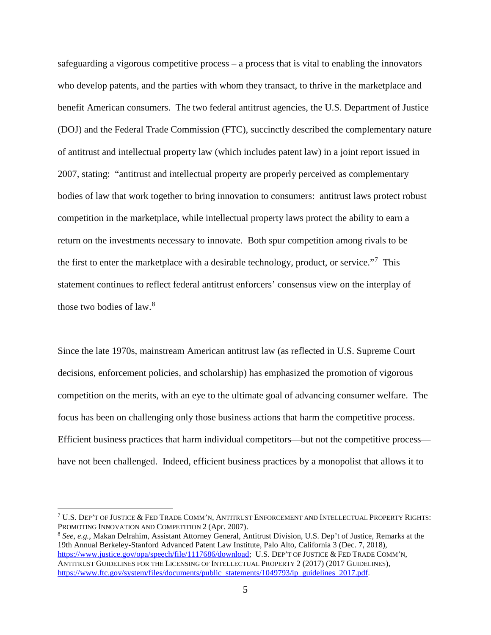safeguarding a vigorous competitive process – a process that is vital to enabling the innovators who develop patents, and the parties with whom they transact, to thrive in the marketplace and benefit American consumers. The two federal antitrust agencies, the U.S. Department of Justice (DOJ) and the Federal Trade Commission (FTC), succinctly described the complementary nature of antitrust and intellectual property law (which includes patent law) in a joint report issued in 2007, stating: "antitrust and intellectual property are properly perceived as complementary bodies of law that work together to bring innovation to consumers: antitrust laws protect robust competition in the marketplace, while intellectual property laws protect the ability to earn a return on the investments necessary to innovate. Both spur competition among rivals to be the first to enter the marketplace with a desirable technology, product, or service."<sup>[7](#page-4-0)</sup> This statement continues to reflect federal antitrust enforcers' consensus view on the interplay of those two bodies of law. $8$ 

Since the late 1970s, mainstream American antitrust law (as reflected in U.S. Supreme Court decisions, enforcement policies, and scholarship) has emphasized the promotion of vigorous competition on the merits, with an eye to the ultimate goal of advancing consumer welfare. The focus has been on challenging only those business actions that harm the competitive process. Efficient business practices that harm individual competitors—but not the competitive process have not been challenged. Indeed, efficient business practices by a monopolist that allows it to

<span id="page-4-0"></span> $7$  U.S. Dep't of Justice & Fed Trade Comm'n, Antitrust Enforcement and Intellectual Property Rights: PROMOTING INNOVATION AND COMPETITION 2 (Apr. 2007).

<span id="page-4-1"></span><sup>8</sup> *See*, *e.g.*, Makan Delrahim, Assistant Attorney General, Antitrust Division, U.S. Dep't of Justice, Remarks at the 19th Annual Berkeley-Stanford Advanced Patent Law Institute, Palo Alto, California 3 (Dec. 7, 2018), [https://www.justice.gov/opa/speech/file/1117686/download;](https://www.justice.gov/opa/speech/file/1117686/download) U.S. DEP'T OF JUSTICE & FED TRADE COMM'N, ANTITRUST GUIDELINES FOR THE LICENSING OF INTELLECTUAL PROPERTY 2 (2017) (2017 GUIDELINES), [https://www.ftc.gov/system/files/documents/public\\_statements/1049793/ip\\_guidelines\\_2017.pdf.](https://www.ftc.gov/system/files/documents/public_statements/1049793/ip_guidelines_2017.pdf)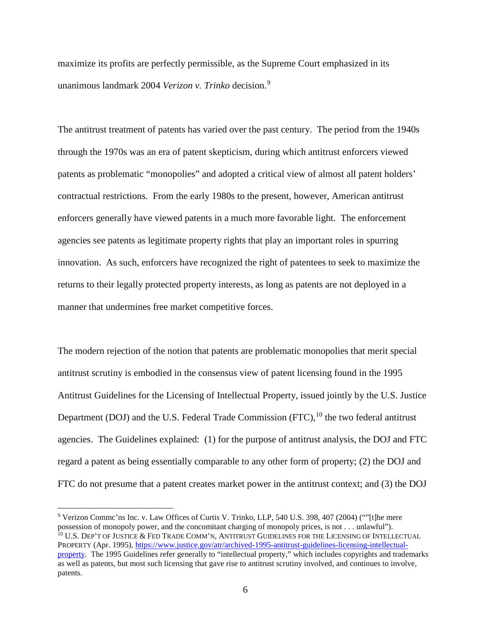maximize its profits are perfectly permissible, as the Supreme Court emphasized in its unanimous landmark 2004 *Verizon v. Trinko* decision. [9](#page-5-0)

The antitrust treatment of patents has varied over the past century. The period from the 1940s through the 1970s was an era of patent skepticism, during which antitrust enforcers viewed patents as problematic "monopolies" and adopted a critical view of almost all patent holders' contractual restrictions. From the early 1980s to the present, however, American antitrust enforcers generally have viewed patents in a much more favorable light. The enforcement agencies see patents as legitimate property rights that play an important roles in spurring innovation. As such, enforcers have recognized the right of patentees to seek to maximize the returns to their legally protected property interests, as long as patents are not deployed in a manner that undermines free market competitive forces.

The modern rejection of the notion that patents are problematic monopolies that merit special antitrust scrutiny is embodied in the consensus view of patent licensing found in the 1995 Antitrust Guidelines for the Licensing of Intellectual Property, issued jointly by the U.S. Justice Department (DOJ) and the U.S. Federal Trade Commission (FTC),<sup>[10](#page-5-1)</sup> the two federal antitrust agencies. The Guidelines explained: (1) for the purpose of antitrust analysis, the DOJ and FTC regard a patent as being essentially comparable to any other form of property; (2) the DOJ and FTC do not presume that a patent creates market power in the antitrust context; and (3) the DOJ

<span id="page-5-1"></span><span id="page-5-0"></span> <sup>9</sup> Verizon Commc'ns Inc. v. Law Offices of Curtis V. Trinko, LLP, 540 U.S. 398, 407 (2004) (""[t]he mere possession of monopoly power, and the concomitant charging of monopoly prices, is not . . . unlawful"). <sup>10</sup> U.S. DEP'T OF JUSTICE & FED TRADE COMM'N, ANTITRUST GUIDELINES FOR THE LICENSING OF INTELLECTUAL PROPERTY (Apr. 1995), [https://www.justice.gov/atr/archived-1995-antitrust-guidelines-licensing-intellectual](https://www.justice.gov/atr/archived-1995-antitrust-guidelines-licensing-intellectual-property)[property.](https://www.justice.gov/atr/archived-1995-antitrust-guidelines-licensing-intellectual-property) The 1995 Guidelines refer generally to "intellectual property," which includes copyrights and trademarks as well as patents, but most such licensing that gave rise to antitrust scrutiny involved, and continues to involve, patents.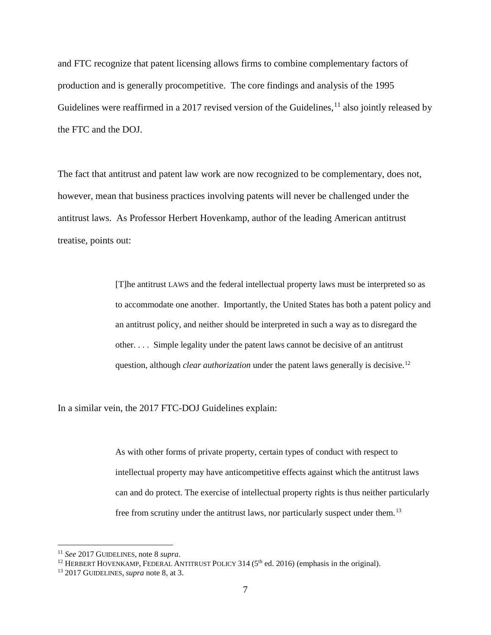and FTC recognize that patent licensing allows firms to combine complementary factors of production and is generally procompetitive. The core findings and analysis of the 1995 Guidelines were reaffirmed in a 2017 revised version of the Guidelines,  $^{11}$  $^{11}$  $^{11}$  also jointly released by the FTC and the DOJ.

The fact that antitrust and patent law work are now recognized to be complementary, does not, however, mean that business practices involving patents will never be challenged under the antitrust laws. As Professor Herbert Hovenkamp, author of the leading American antitrust treatise, points out:

> [T]he antitrust LAWS and the federal intellectual property laws must be interpreted so as to accommodate one another. Importantly, the United States has both a patent policy and an antitrust policy, and neither should be interpreted in such a way as to disregard the other. . . . Simple legality under the patent laws cannot be decisive of an antitrust question, although *clear authorization* under the patent laws generally is decisive.<sup>[12](#page-6-1)</sup>

In a similar vein, the 2017 FTC-DOJ Guidelines explain:

As with other forms of private property, certain types of conduct with respect to intellectual property may have anticompetitive effects against which the antitrust laws can and do protect. The exercise of intellectual property rights is thus neither particularly free from scrutiny under the antitrust laws, nor particularly suspect under them.<sup>[13](#page-6-2)</sup>

<span id="page-6-1"></span><span id="page-6-0"></span><sup>&</sup>lt;sup>11</sup> *See* 2017 GUIDELINES, note 8 *supra*.<br><sup>12</sup> HERBERT HOVENKAMP, FEDERAL ANTITRUST POLICY 314 (5<sup>th</sup> ed. 2016) (emphasis in the original). <sup>13</sup> 2017 GUIDELINES, *supra* note 8, at 3.

<span id="page-6-2"></span>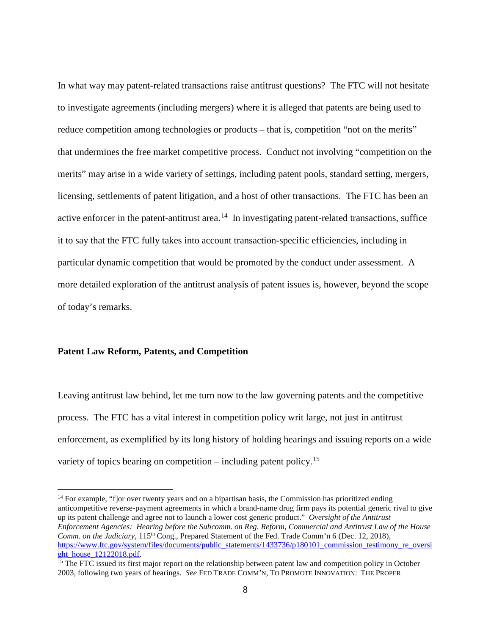In what way may patent-related transactions raise antitrust questions? The FTC will not hesitate to investigate agreements (including mergers) where it is alleged that patents are being used to reduce competition among technologies or products – that is, competition "not on the merits" that undermines the free market competitive process. Conduct not involving "competition on the merits" may arise in a wide variety of settings, including patent pools, standard setting, mergers, licensing, settlements of patent litigation, and a host of other transactions. The FTC has been an active enforcer in the patent-antitrust area.<sup>14</sup> In investigating patent-related transactions, suffice it to say that the FTC fully takes into account transaction-specific efficiencies, including in particular dynamic competition that would be promoted by the conduct under assessment. A more detailed exploration of the antitrust analysis of patent issues is, however, beyond the scope of today's remarks.

### **Patent Law Reform, Patents, and Competition**

Leaving antitrust law behind, let me turn now to the law governing patents and the competitive process. The FTC has a vital interest in competition policy writ large, not just in antitrust enforcement, as exemplified by its long history of holding hearings and issuing reports on a wide variety of topics bearing on competition – including patent policy.<sup>15</sup>

<span id="page-7-0"></span><sup>&</sup>lt;sup>14</sup> For example, "flor over twenty years and on a bipartisan basis, the Commission has prioritized ending anticompetitive reverse-payment agreements in which a brand-name drug firm pays its potential generic rival to give up its patent challenge and agree not to launch a lower cost generic product." *Oversight of the Antitrust Enforcement Agencies: Hearing before the Subcomm. on Reg. Reform, Commercial and Antitrust Law of the House Comm. on the Judiciary*, 115<sup>th</sup> Cong., Prepared Statement of the Fed. Trade Comm'n 6 (Dec. 12, 2018), [https://www.ftc.gov/system/files/documents/public\\_statements/1433736/p180101\\_commission\\_testimony\\_re\\_oversi](https://www.ftc.gov/system/files/documents/public_statements/1433736/p180101_commission_testimony_re_oversight_house_12122018.pdf)\_<br>ght\_house\_12122018.pdf.

<span id="page-7-1"></span> $15$  The FTC issued its first major report on the relationship between patent law and competition policy in October 2003, following two years of hearings. *See* FED TRADE COMM'N, TO PROMOTE INNOVATION: THE PROPER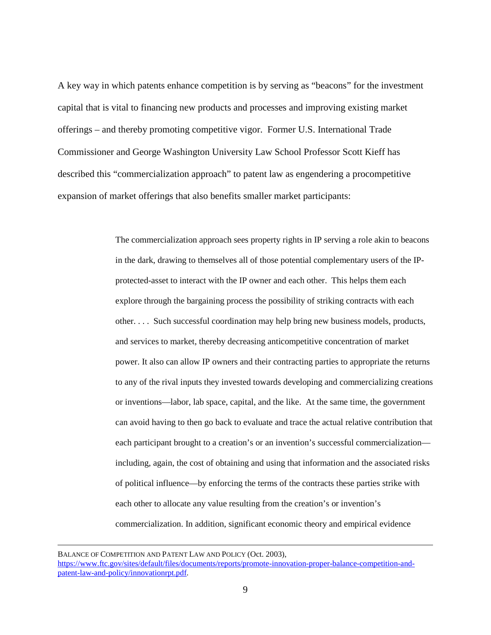A key way in which patents enhance competition is by serving as "beacons" for the investment capital that is vital to financing new products and processes and improving existing market offerings – and thereby promoting competitive vigor. Former U.S. International Trade Commissioner and George Washington University Law School Professor Scott Kieff has described this "commercialization approach" to patent law as engendering a procompetitive expansion of market offerings that also benefits smaller market participants:

> The commercialization approach sees property rights in IP serving a role akin to beacons in the dark, drawing to themselves all of those potential complementary users of the IPprotected-asset to interact with the IP owner and each other. This helps them each explore through the bargaining process the possibility of striking contracts with each other. . . . Such successful coordination may help bring new business models, products, and services to market, thereby decreasing anticompetitive concentration of market power. It also can allow IP owners and their contracting parties to appropriate the returns to any of the rival inputs they invested towards developing and commercializing creations or inventions—labor, lab space, capital, and the like. At the same time, the government can avoid having to then go back to evaluate and trace the actual relative contribution that each participant brought to a creation's or an invention's successful commercialization including, again, the cost of obtaining and using that information and the associated risks of political influence—by enforcing the terms of the contracts these parties strike with each other to allocate any value resulting from the creation's or invention's commercialization. In addition, significant economic theory and empirical evidence

BALANCE OF COMPETITION AND PATENT LAW AND POLICY (Oct. 2003), [https://www.ftc.gov/sites/default/files/documents/reports/promote-innovation-proper-balance-competition-and](https://www.ftc.gov/sites/default/files/documents/reports/promote-innovation-proper-balance-competition-and-patent-law-and-policy/innovationrpt.pdf)[patent-law-and-policy/innovationrpt.pdf.](https://www.ftc.gov/sites/default/files/documents/reports/promote-innovation-proper-balance-competition-and-patent-law-and-policy/innovationrpt.pdf)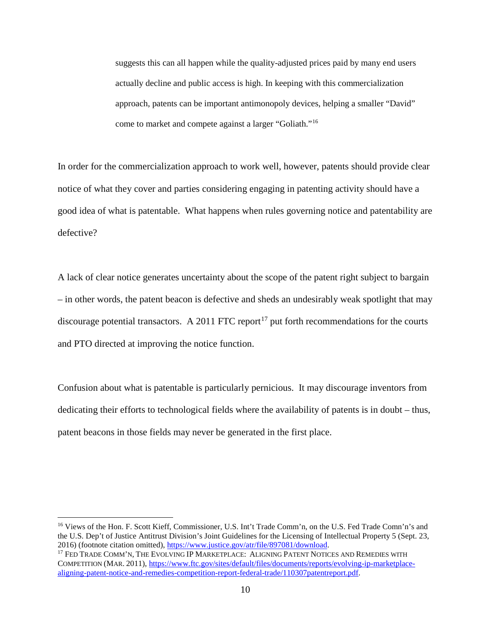suggests this can all happen while the quality-adjusted prices paid by many end users actually decline and public access is high. In keeping with this commercialization approach, patents can be important antimonopoly devices, helping a smaller "David" come to market and compete against a larger "Goliath."[16](#page-9-0) 

In order for the commercialization approach to work well, however, patents should provide clear notice of what they cover and parties considering engaging in patenting activity should have a good idea of what is patentable. What happens when rules governing notice and patentability are defective?

A lack of clear notice generates uncertainty about the scope of the patent right subject to bargain – in other words, the patent beacon is defective and sheds an undesirably weak spotlight that may discourage potential transactors. A 2011 FTC report<sup>[17](#page-9-1)</sup> put forth recommendations for the courts and PTO directed at improving the notice function.

Confusion about what is patentable is particularly pernicious. It may discourage inventors from dedicating their efforts to technological fields where the availability of patents is in doubt – thus, patent beacons in those fields may never be generated in the first place.

<span id="page-9-0"></span> <sup>16</sup> Views of the Hon. F. Scott Kieff, Commissioner, U.S. Int't Trade Comm'n, on the U.S. Fed Trade Comn'n's and the U.S. Dep't of Justice Antitrust Division's Joint Guidelines for the Licensing of Intellectual Property 5 (Sept. 23, 2016) (footnote citation omitted), https://www.justice.gov/atr/file/897081/download.<br><sup>17</sup> FED TRADE COMM'N, THE EVOLVING IP MARKETPLACE: ALIGNING PATENT NOTICES AND REMEDIES WITH

<span id="page-9-1"></span>COMPETITION (MAR. 2011), [https://www.ftc.gov/sites/default/files/documents/reports/evolving-ip-marketplace](https://www.ftc.gov/sites/default/files/documents/reports/evolving-ip-marketplace-aligning-patent-notice-and-remedies-competition-report-federal-trade/110307patentreport.pdf)[aligning-patent-notice-and-remedies-competition-report-federal-trade/110307patentreport.pdf.](https://www.ftc.gov/sites/default/files/documents/reports/evolving-ip-marketplace-aligning-patent-notice-and-remedies-competition-report-federal-trade/110307patentreport.pdf)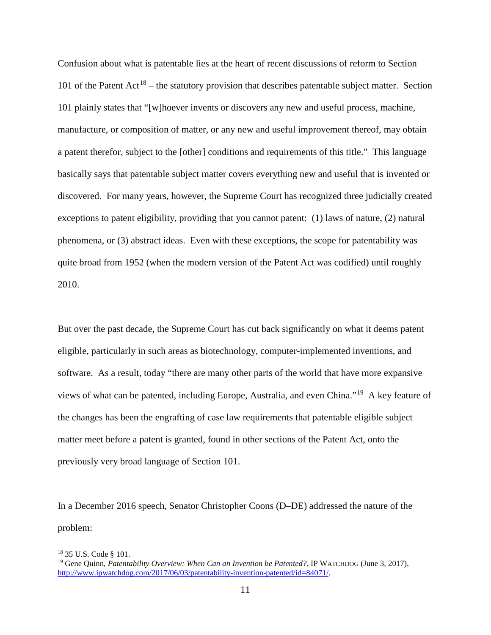Confusion about what is patentable lies at the heart of recent discussions of reform to Section 101 of the Patent  $Act^{18}$  $Act^{18}$  $Act^{18}$  – the statutory provision that describes patentable subject matter. Section 101 plainly states that "[w]hoever invents or discovers any new and useful process, machine, manufacture, or composition of matter, or any new and useful improvement thereof, may obtain a patent therefor, subject to the [other] conditions and requirements of this title." This language basically says that patentable subject matter covers everything new and useful that is invented or discovered. For many years, however, the Supreme Court has recognized three judicially created exceptions to patent eligibility, providing that you cannot patent: (1) laws of nature, (2) natural phenomena, or (3) abstract ideas. Even with these exceptions, the scope for patentability was quite broad from 1952 (when the modern version of the Patent Act was codified) until roughly 2010.

But over the past decade, the Supreme Court has cut back significantly on what it deems patent eligible, particularly in such areas as biotechnology, computer-implemented inventions, and software. As a result, today "there are many other parts of the world that have more expansive views of what can be patented, including Europe, Australia, and even China."[19](#page-10-1) A key feature of the changes has been the engrafting of case law requirements that patentable eligible subject matter meet before a patent is granted, found in other sections of the Patent Act, onto the previously very broad language of Section 101.

In a December 2016 speech, Senator Christopher Coons (D–DE) addressed the nature of the problem:

<span id="page-10-1"></span><span id="page-10-0"></span>

<sup>&</sup>lt;sup>18</sup> 35 U.S. Code § 101.<br><sup>19</sup> Gene Quinn, *Patentability Overview: When Can an Invention be Patented?*, IP WATCHDOG (June 3, 2017), [http://www.ipwatchdog.com/2017/06/03/patentability-invention-patented/id=84071/.](http://www.ipwatchdog.com/2017/06/03/patentability-invention-patented/id=84071/)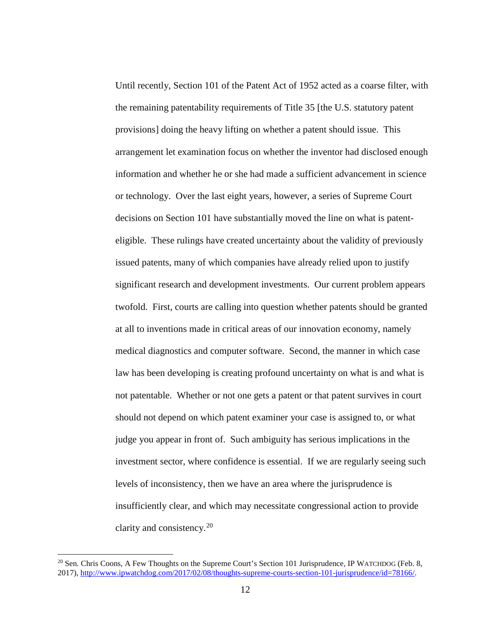Until recently, Section 101 of the Patent Act of 1952 acted as a coarse filter, with the remaining patentability requirements of Title 35 [the U.S. statutory patent provisions] doing the heavy lifting on whether a patent should issue. This arrangement let examination focus on whether the inventor had disclosed enough information and whether he or she had made a sufficient advancement in science or technology. Over the last eight years, however, a series of Supreme Court decisions on Section 101 have substantially moved the line on what is patenteligible. These rulings have created uncertainty about the validity of previously issued patents, many of which companies have already relied upon to justify significant research and development investments. Our current problem appears twofold. First, courts are calling into question whether patents should be granted at all to inventions made in critical areas of our innovation economy, namely medical diagnostics and computer software. Second, the manner in which case law has been developing is creating profound uncertainty on what is and what is not patentable. Whether or not one gets a patent or that patent survives in court should not depend on which patent examiner your case is assigned to, or what judge you appear in front of. Such ambiguity has serious implications in the investment sector, where confidence is essential. If we are regularly seeing such levels of inconsistency, then we have an area where the jurisprudence is insufficiently clear, and which may necessitate congressional action to provide clarity and consistency.[20](#page-11-0)

<span id="page-11-0"></span> $^{20}$  Sen. Chris Coons, A Few Thoughts on the Supreme Court's Section 101 Jurisprudence, IP WATCHDOG (Feb. 8, 2017), [http://www.ipwatchdog.com/2017/02/08/thoughts-supreme-courts-section-101-jurisprudence/id=78166/.](http://www.ipwatchdog.com/2017/02/08/thoughts-supreme-courts-section-101-jurisprudence/id=78166/)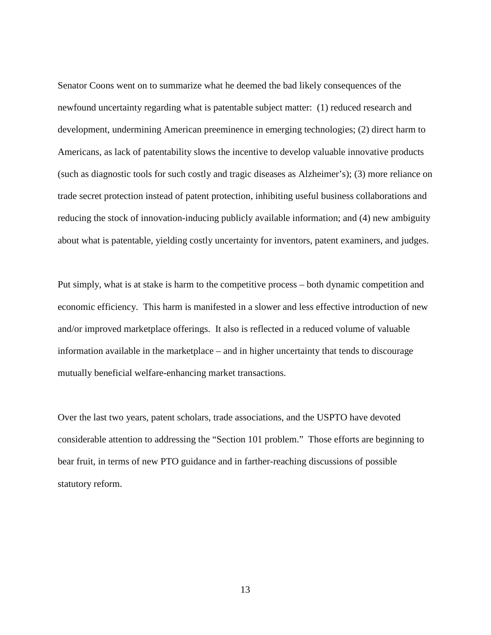Senator Coons went on to summarize what he deemed the bad likely consequences of the newfound uncertainty regarding what is patentable subject matter: (1) reduced research and development, undermining American preeminence in emerging technologies; (2) direct harm to Americans, as lack of patentability slows the incentive to develop valuable innovative products (such as diagnostic tools for such costly and tragic diseases as Alzheimer's); (3) more reliance on trade secret protection instead of patent protection, inhibiting useful business collaborations and reducing the stock of innovation-inducing publicly available information; and (4) new ambiguity about what is patentable, yielding costly uncertainty for inventors, patent examiners, and judges.

Put simply, what is at stake is harm to the competitive process – both dynamic competition and economic efficiency. This harm is manifested in a slower and less effective introduction of new and/or improved marketplace offerings. It also is reflected in a reduced volume of valuable information available in the marketplace – and in higher uncertainty that tends to discourage mutually beneficial welfare-enhancing market transactions.

Over the last two years, patent scholars, trade associations, and the USPTO have devoted considerable attention to addressing the "Section 101 problem." Those efforts are beginning to bear fruit, in terms of new PTO guidance and in farther-reaching discussions of possible statutory reform.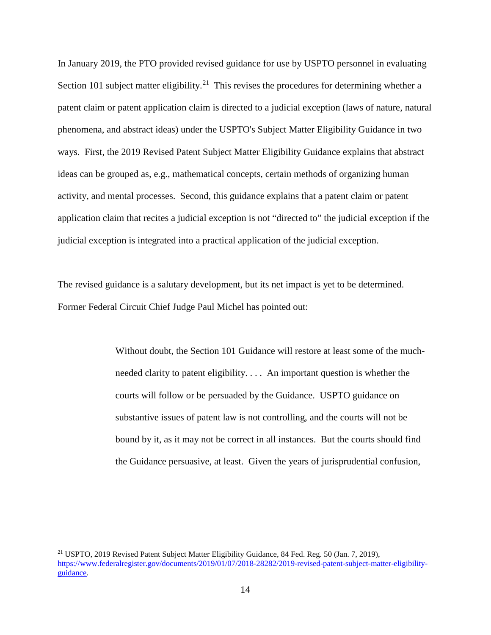In January 2019, the PTO provided revised guidance for use by USPTO personnel in evaluating Section 101 subject matter eligibility.<sup>[21](#page-13-0)</sup> This revises the procedures for determining whether a patent claim or patent application claim is directed to a judicial exception (laws of nature, natural phenomena, and abstract ideas) under the USPTO's Subject Matter Eligibility Guidance in two ways. First, the 2019 Revised Patent Subject Matter Eligibility Guidance explains that abstract ideas can be grouped as, e.g., mathematical concepts, certain methods of organizing human activity, and mental processes. Second, this guidance explains that a patent claim or patent application claim that recites a judicial exception is not "directed to" the judicial exception if the judicial exception is integrated into a practical application of the judicial exception.

The revised guidance is a salutary development, but its net impact is yet to be determined. Former Federal Circuit Chief Judge Paul Michel has pointed out:

> Without doubt, the Section 101 Guidance will restore at least some of the muchneeded clarity to patent eligibility. . . . An important question is whether the courts will follow or be persuaded by the Guidance. USPTO guidance on substantive issues of patent law is not controlling, and the courts will not be bound by it, as it may not be correct in all instances. But the courts should find the Guidance persuasive, at least. Given the years of jurisprudential confusion,

<span id="page-13-0"></span> <sup>21</sup> USPTO, 2019 Revised Patent Subject Matter Eligibility Guidance, 84 Fed. Reg. 50 (Jan. 7, 2019), [https://www.federalregister.gov/documents/2019/01/07/2018-28282/2019-revised-patent-subject-matter-eligibility](https://www.federalregister.gov/documents/2019/01/07/2018-28282/2019-revised-patent-subject-matter-eligibility-guidance)[guidance.](https://www.federalregister.gov/documents/2019/01/07/2018-28282/2019-revised-patent-subject-matter-eligibility-guidance)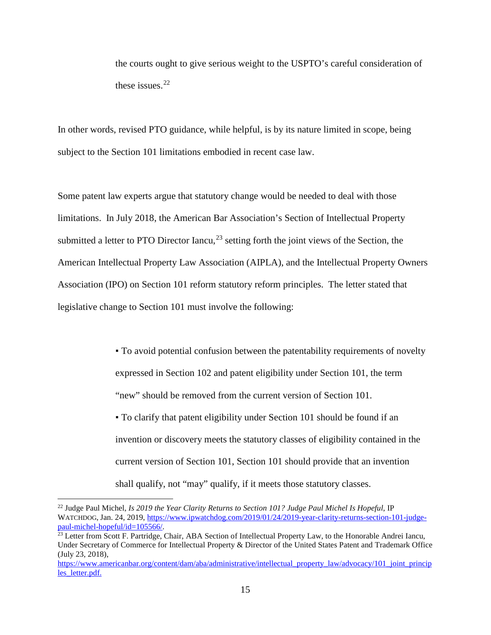the courts ought to give serious weight to the USPTO's careful consideration of these issues.<sup>[22](#page-14-0)</sup>

In other words, revised PTO guidance, while helpful, is by its nature limited in scope, being subject to the Section 101 limitations embodied in recent case law.

Some patent law experts argue that statutory change would be needed to deal with those limitations. In July 2018, the American Bar Association's Section of Intellectual Property submitted a letter to PTO Director Iancu, $^{23}$  $^{23}$  $^{23}$  setting forth the joint views of the Section, the American Intellectual Property Law Association (AIPLA), and the Intellectual Property Owners Association (IPO) on Section 101 reform statutory reform principles. The letter stated that legislative change to Section 101 must involve the following:

> ▪ To avoid potential confusion between the patentability requirements of novelty expressed in Section 102 and patent eligibility under Section 101, the term "new" should be removed from the current version of Section 101. ▪ To clarify that patent eligibility under Section 101 should be found if an invention or discovery meets the statutory classes of eligibility contained in the current version of Section 101, Section 101 should provide that an invention shall qualify, not "may" qualify, if it meets those statutory classes.

<span id="page-14-0"></span> <sup>22</sup> Judge Paul Michel, *Is 2019 the Year Clarity Returns to Section 101? Judge Paul Michel Is Hopeful*, IP WATCHDOG, Jan. 24, 2019, https://www.ipwatchdog.com/2019/01/24/2019-year-clarity-returns-section-101-judge-<br>paul-michel-hopeful/id=105566/.

<span id="page-14-1"></span><sup>&</sup>lt;sup>23</sup> Letter from Scott F. Partridge, Chair, ABA Section of Intellectual Property Law, to the Honorable Andrei Iancu, Under Secretary of Commerce for Intellectual Property & Director of the United States Patent and Trademark Office (July 23, 2018),

[https://www.americanbar.org/content/dam/aba/administrative/intellectual\\_property\\_law/advocacy/101\\_joint\\_princip](https://www.americanbar.org/content/dam/aba/administrative/intellectual_property_law/advocacy/101_joint_principles_letter.pdf) les letter.pdf.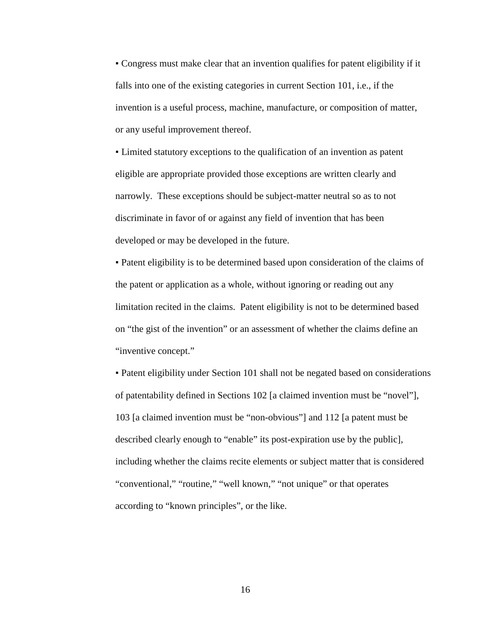▪ Congress must make clear that an invention qualifies for patent eligibility if it falls into one of the existing categories in current Section 101, i.e., if the invention is a useful process, machine, manufacture, or composition of matter, or any useful improvement thereof.

▪ Limited statutory exceptions to the qualification of an invention as patent eligible are appropriate provided those exceptions are written clearly and narrowly. These exceptions should be subject-matter neutral so as to not discriminate in favor of or against any field of invention that has been developed or may be developed in the future.

▪ Patent eligibility is to be determined based upon consideration of the claims of the patent or application as a whole, without ignoring or reading out any limitation recited in the claims. Patent eligibility is not to be determined based on "the gist of the invention" or an assessment of whether the claims define an "inventive concept."

▪ Patent eligibility under Section 101 shall not be negated based on considerations of patentability defined in Sections 102 [a claimed invention must be "novel"], 103 [a claimed invention must be "non-obvious"] and 112 [a patent must be described clearly enough to "enable" its post-expiration use by the public], including whether the claims recite elements or subject matter that is considered "conventional," "routine," "well known," "not unique" or that operates according to "known principles", or the like.

16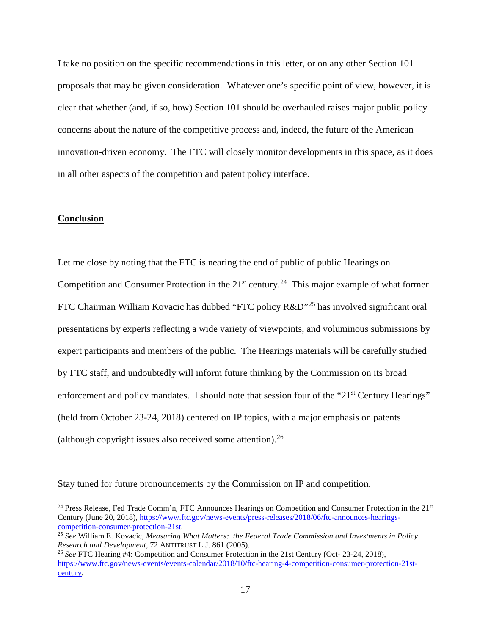I take no position on the specific recommendations in this letter, or on any other Section 101 proposals that may be given consideration. Whatever one's specific point of view, however, it is clear that whether (and, if so, how) Section 101 should be overhauled raises major public policy concerns about the nature of the competitive process and, indeed, the future of the American innovation-driven economy. The FTC will closely monitor developments in this space, as it does in all other aspects of the competition and patent policy interface.

## **Conclusion**

Let me close by noting that the FTC is nearing the end of public of public Hearings on Competition and Consumer Protection in the  $21<sup>st</sup>$  century.<sup>24</sup> This major example of what former FTC Chairman William Kovacic has dubbed "FTC policy R&D"[25](#page-16-1) has involved significant oral presentations by experts reflecting a wide variety of viewpoints, and voluminous submissions by expert participants and members of the public. The Hearings materials will be carefully studied by FTC staff, and undoubtedly will inform future thinking by the Commission on its broad enforcement and policy mandates. I should note that session four of the "21<sup>st</sup> Century Hearings" (held from October 23-24, 2018) centered on IP topics, with a major emphasis on patents (although copyright issues also received some attention). [26](#page-16-2) 

Stay tuned for future pronouncements by the Commission on IP and competition.

<span id="page-16-0"></span><sup>&</sup>lt;sup>24</sup> Press Release, Fed Trade Comm'n, FTC Announces Hearings on Competition and Consumer Protection in the 21<sup>st</sup> Century (June 20, 2018), https://www.ftc.gov/news-events/press-releases/2018/06/ftc-announces-hearings-competition-consumer-protection-21st.

<span id="page-16-1"></span><sup>&</sup>lt;sup>25</sup> See William E. Kovacic, *Measuring What Matters: the Federal Trade Commission and Investments in Policy Research and Development*, 72 ANTITRUST L.J. 861 (2005).

<span id="page-16-2"></span><sup>&</sup>lt;sup>26</sup> See FTC Hearing #4: Competition and Consumer Protection in the 21st Century (Oct- 23-24, 2018), [https://www.ftc.gov/news-events/events-calendar/2018/10/ftc-hearing-4-competition-consumer-protection-21st](https://www.ftc.gov/news-events/events-calendar/2018/10/ftc-hearing-4-competition-consumer-protection-21st-century)[century.](https://www.ftc.gov/news-events/events-calendar/2018/10/ftc-hearing-4-competition-consumer-protection-21st-century)